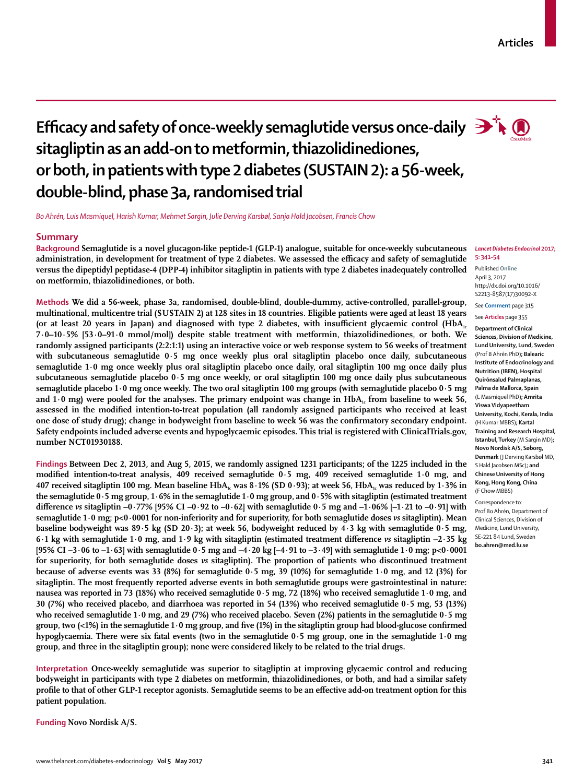# **Efficacy and safety of once-weekly semaglutide versus once-daily**  $\mathbf{P}$ **sitagliptin as an add-on to metformin, thiazolidinediones, or both, in patients with type 2 diabetes (SUSTAIN 2): a 56-week, double-blind, phase 3a, randomised trial**

*Bo Ahrén, Luis Masmiquel, Harish Kumar, Mehmet Sargin, Julie Derving Karsbøl, Sanja Hald Jacobsen, Francis Chow*

# **Summary**

**Background Semaglutide is a novel glucagon-like peptide-1 (GLP-1) analogue, suitable for once-weekly subcutaneous administration, in development for treatment of type 2 diabetes. We assessed the efficacy and safety of semaglutide versus the dipeptidyl peptidase-4 (DPP-4) inhibitor sitagliptin in patients with type 2 diabetes inadequately controlled on metformin, thiazolidinediones, or both.**

**Methods We did a 56-week, phase 3a, randomised, double-blind, double-dummy, active-controlled, parallel-group, multinational, multicentre trial (SUSTAIN 2) at 128 sites in 18 countries. Eligible patients were aged at least 18 years**  (or at least 20 years in Japan) and diagnosed with type 2 diabetes, with insufficient glycaemic control (HbA<sub>1c</sub> **7·0–10·5% [53·0–91·0 mmol/mol]) despite stable treatment with metformin, thiazolidinediones, or both. We randomly assigned participants (2:2:1:1) using an interactive voice or web response system to 56 weeks of treatment with subcutaneous semaglutide 0·5 mg once weekly plus oral sitagliptin placebo once daily, subcutaneous semaglutide 1·0 mg once weekly plus oral sitagliptin placebo once daily, oral sitagliptin 100 mg once daily plus subcutaneous semaglutide placebo 0·5 mg once weekly, or oral sitagliptin 100 mg once daily plus subcutaneous semaglutide placebo 1·0 mg once weekly. The two oral sitagliptin 100 mg groups (with semaglutide placebo 0·5 mg**  and  $1·0$  mg) were pooled for the analyses. The primary endpoint was change in  $HbA<sub>1</sub>$  from baseline to week 56, **assessed in the modified intention-to-treat population (all randomly assigned participants who received at least one dose of study drug); change in bodyweight from baseline to week 56 was the confirmatory secondary endpoint. Safety endpoints included adverse events and hypoglycaemic episodes. This trial is registered with ClinicalTrials.gov, number NCT01930188.**

**Findings Between Dec 2, 2013, and Aug 5, 2015, we randomly assigned 1231 participants; of the 1225 included in the modified intention-to-treat analysis, 409 received semaglutide 0·5 mg, 409 received semaglutide 1·0 mg, and**  407 received sitagliptin 100 mg. Mean baseline HbA<sub>1c</sub> was 8.1% (SD 0.93); at week 56, HbA<sub>1c</sub> was reduced by 1.3% in **the semaglutide 0·5 mg group, 1·6% in the semaglutide 1·0 mg group, and 0·5% with sitagliptin (estimated treatment difference** *vs* **sitagliptin –0·77% [95% CI –0·92 to –0·62] with semaglutide 0·5 mg and –1·06% [–1·21 to –0·91] with semaglutide 1·0 mg; p<0·0001 for non-inferiority and for superiority, for both semaglutide doses** *vs* **sitagliptin). Mean baseline bodyweight was 89·5 kg (SD 20·3); at week 56, bodyweight reduced by 4·3 kg with semaglutide 0·5 mg, 6·1 kg with semaglutide 1·0 mg, and 1·9 kg with sitagliptin (estimated treatment difference** *vs* **sitagliptin –2·35 kg [95% CI –3·06 to –1·63] with semaglutide 0·5 mg and –4·20 kg [–4·91 to –3·49] with semaglutide 1·0 mg; p<0·0001 for superiority, for both semaglutide doses** *vs* **sitagliptin). The proportion of patients who discontinued treatment because of adverse events was 33 (8%) for semaglutide 0·5 mg, 39 (10%) for semaglutide 1·0 mg, and 12 (3%) for sitagliptin. The most frequently reported adverse events in both semaglutide groups were gastrointestinal in nature: nausea was reported in 73 (18%) who received semaglutide 0·5 mg, 72 (18%) who received semaglutide 1·0 mg, and 30 (7%) who received placebo, and diarrhoea was reported in 54 (13%) who received semaglutide 0·5 mg, 53 (13%) who received semaglutide 1·0 mg, and 29 (7%) who received placebo. Seven (2%) patients in the semaglutide 0·5 mg group, two (<1%) in the semaglutide 1·0 mg group, and five (1%) in the sitagliptin group had blood-glucose confirmed hypoglycaemia. There were six fatal events (two in the semaglutide 0·5 mg group, one in the semaglutide 1·0 mg group, and three in the sitagliptin group); none were considered likely to be related to the trial drugs.**

**Interpretation Once-weekly semaglutide was superior to sitagliptin at improving glycaemic control and reducing bodyweight in participants with type 2 diabetes on metformin, thiazolidinediones, or both, and had a similar safety profile to that of other GLP-1 receptor agonists. Semaglutide seems to be an effective add-on treatment option for this patient population.**

**Funding Novo Nordisk A/S.**

Published **Online** April 3, 2017 http://dx.doi.org/10.1016/ S2213-8587(17)30092-X

See **Comment** page 315 See **Articles** page 355

**Department of Clinical Sciences, Division of Medicine, Lund University, Lund, Sweden** (Prof B Ahrén PhD)**; Balearic Institute of Endocrinology and Nutrition (IBEN), Hospital Quirónsalud Palmaplanas, Palma de Mallorca, Spain**  (L Masmiquel PhD)**; Amrita Viswa Vidyapeetham University, Kochi, Kerala, India**  (H Kumar MBBS)**; Kartal Training and Research Hospital, Istanbul, Turkey** (M Sargin MD)**; Novo Nordisk A/S, Søborg, Denmark** (J Derving Karsbøl MD, S Hald Jacobsen MSc)**; and Chinese University of Hong Kong, Hong Kong, China**  (F Chow MBBS)

Correspondence to: Prof Bo Ahrén, Department of Clinical Sciences, Division of Medicine, Lund University, SE-221 84 Lund, Sweden **bo.ahren@med.lu.se**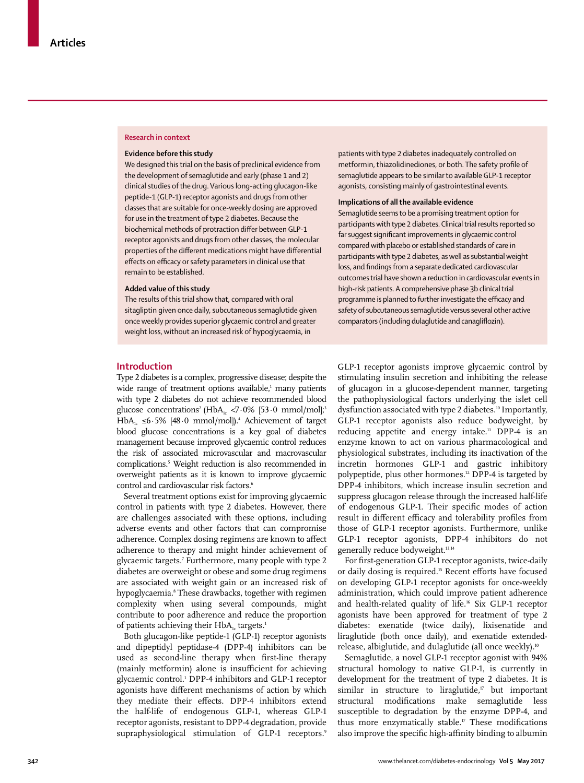#### **Research in context**

#### **Evidence before this study**

We designed this trial on the basis of preclinical evidence from the development of semaglutide and early (phase 1 and 2) clinical studies of the drug. Various long-acting glucagon-like peptide-1 (GLP-1) receptor agonists and drugs from other classes that are suitable for once-weekly dosing are approved for use in the treatment of type 2 diabetes. Because the biochemical methods of protraction differ between GLP-1 receptor agonists and drugs from other classes, the molecular properties of the different medications might have differential effects on efficacy or safety parameters in clinical use that remain to be established.

#### **Added value of this study**

The results of this trial show that, compared with oral sitagliptin given once daily, subcutaneous semaglutide given once weekly provides superior glycaemic control and greater weight loss, without an increased risk of hypoglycaemia, in

patients with type 2 diabetes inadequately controlled on metformin, thiazolidinediones, or both. The safety profile of semaglutide appears to be similar to available GLP-1 receptor agonists, consisting mainly of gastrointestinal events.

# **Implications of all the available evidence**

Semaglutide seems to be a promising treatment option for participants with type 2 diabetes. Clinical trial results reported so far suggest significant improvements in glycaemic control compared with placebo or established standards of care in participants with type 2 diabetes, as well as substantial weight loss, and findings from a separate dedicated cardiovascular outcomes trial have shown a reduction in cardiovascular events in high-risk patients. A comprehensive phase 3b clinical trial programme is planned to further investigate the efficacy and safety of subcutaneous semaglutide versus several other active comparators (including dulaglutide and canagliflozin).

# **Introduction**

Type 2 diabetes is a complex, progressive disease; despite the wide range of treatment options available,<sup>1</sup> many patients with type 2 diabetes do not achieve recommended blood glucose concentrations<sup>2</sup> (HbA<sub>1c</sub> <7.0% [53.0 mmol/mol];<sup>3</sup> HbA<sub>1c</sub> ≤6·5% [48·0 mmol/mol]).<sup>4</sup> Achievement of target blood glucose concentrations is a key goal of diabetes management because improved glycaemic control reduces the risk of associated microvascular and macrovascular complications.5 Weight reduction is also recommended in overweight patients as it is known to improve glycaemic control and cardiovascular risk factors.<sup>6</sup>

Several treatment options exist for improving glycaemic control in patients with type 2 diabetes. However, there are challenges associated with these options, including adverse events and other factors that can compromise adherence. Complex dosing regimens are known to affect adherence to therapy and might hinder achievement of glycaemic targets.7 Furthermore, many people with type 2 diabetes are overweight or obese and some drug regimens are associated with weight gain or an increased risk of hypoglycaemia.8 These drawbacks, together with regimen complexity when using several compounds, might contribute to poor adherence and reduce the proportion of patients achieving their  $HbA<sub>1c</sub>$  targets.<sup>1</sup>

Both glucagon-like peptide-1 (GLP-1) receptor agonists and dipeptidyl peptidase-4 (DPP-4) inhibitors can be used as second-line therapy when first-line therapy (mainly metformin) alone is insufficient for achieving glycaemic control.1 DPP-4 inhibitors and GLP-1 receptor agonists have different mechanisms of action by which they mediate their effects. DPP-4 inhibitors extend the half-life of endogenous GLP-1, whereas GLP-1 receptor agonists, resistant to DPP-4 degradation, provide supraphysiological stimulation of GLP-1 receptors.<sup>9</sup>

GLP-1 receptor agonists improve glycaemic control by stimulating insulin secretion and inhibiting the release of glucagon in a glucose-dependent manner, targeting the pathophysiological factors underlying the islet cell dysfunction associated with type 2 diabetes.<sup>10</sup> Importantly, GLP-1 receptor agonists also reduce bodyweight, by reducing appetite and energy intake.<sup>11</sup> DPP-4 is an enzyme known to act on various pharmacological and physiological substrates, including its inactivation of the incretin hormones GLP-1 and gastric inhibitory polypeptide, plus other hormones.<sup>12</sup> DPP-4 is targeted by DPP-4 inhibitors, which increase insulin secretion and suppress glucagon release through the increased half-life of endogenous GLP-1. Their specific modes of action result in different efficacy and tolerability profiles from those of GLP-1 receptor agonists. Furthermore, unlike GLP-1 receptor agonists, DPP-4 inhibitors do not generally reduce bodyweight.<sup>13,14</sup>

For first-generation GLP-1 receptor agonists, twice-daily or daily dosing is required.<sup>15</sup> Recent efforts have focused on developing GLP-1 receptor agonists for once-weekly administration, which could improve patient adherence and health-related quality of life.<sup>16</sup> Six GLP-1 receptor agonists have been approved for treatment of type 2 diabetes: exenatide (twice daily), lixisenatide and liraglutide (both once daily), and exenatide extendedrelease, albiglutide, and dulaglutide (all once weekly).<sup>10</sup>

Semaglutide, a novel GLP-1 receptor agonist with 94% structural homology to native GLP-1, is currently in development for the treatment of type 2 diabetes. It is similar in structure to liraglutide, $\mathbf{r}$  but important structural modifications make semaglutide less susceptible to degradation by the enzyme DPP-4, and thus more enzymatically stable.<sup>17</sup> These modifications also improve the specific high-affinity binding to albumin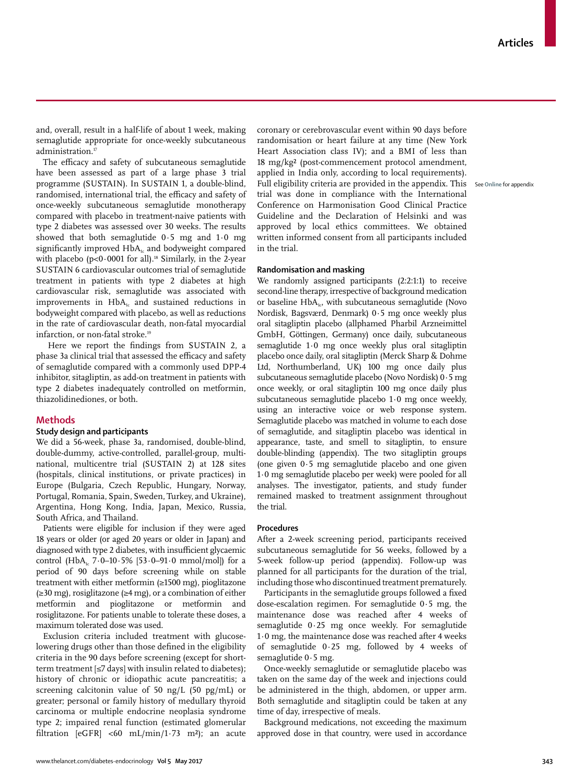and, overall, result in a half-life of about 1 week, making semaglutide appropriate for once-weekly subcutaneous administration.<sup>17</sup>

The efficacy and safety of subcutaneous semaglutide have been assessed as part of a large phase 3 trial programme (SUSTAIN). In SUSTAIN 1, a double-blind, randomised, international trial, the efficacy and safety of once-weekly subcutaneous semaglutide monotherapy compared with placebo in treatment-naive patients with type 2 diabetes was assessed over 30 weeks. The results showed that both semaglutide 0·5 mg and 1·0 mg significantly improved HbA<sub>1c</sub> and bodyweight compared with placebo ( $p<0.0001$  for all).<sup>18</sup> Similarly, in the 2-year SUSTAIN 6 cardiovascular outcomes trial of semaglutide treatment in patients with type 2 diabetes at high cardiovascular risk, semaglutide was associated with improvements in  $HbA<sub>i</sub>$  and sustained reductions in bodyweight compared with placebo, as well as reductions in the rate of cardiovascular death, non-fatal myocardial infarction, or non-fatal stroke.<sup>19</sup>

 Here we report the findings from SUSTAIN 2, a phase 3a clinical trial that assessed the efficacy and safety of semaglutide compared with a commonly used DPP-4 inhibitor, sitagliptin, as add-on treatment in patients with type 2 diabetes inadequately controlled on metformin, thiazolidinediones, or both.

## **Methods**

# **Study design and participants**

We did a 56-week, phase 3a, randomised, double-blind, double-dummy, active-controlled, parallel-group, multinational, multicentre trial (SUSTAIN 2) at 128 sites (hospitals, clinical institutions, or private practices) in Europe (Bulgaria, Czech Republic, Hungary, Norway, Portugal, Romania, Spain, Sweden, Turkey, and Ukraine), Argentina, Hong Kong, India, Japan, Mexico, Russia, South Africa, and Thailand.

Patients were eligible for inclusion if they were aged 18 years or older (or aged 20 years or older in Japan) and diagnosed with type 2 diabetes, with insufficient glycaemic control (HbA<sub>1c</sub> 7·0–10·5% [53·0–91·0 mmol/mol]) for a period of 90 days before screening while on stable treatment with either metformin (≥1500 mg), pioglitazone (≥30 mg), rosiglitazone (≥4 mg), or a combination of either metformin and pioglitazone or metformin and rosiglitazone. For patients unable to tolerate these doses, a maximum tolerated dose was used.

Exclusion criteria included treatment with glucoselowering drugs other than those defined in the eligibility criteria in the 90 days before screening (except for shortterm treatment [≤7 days] with insulin related to diabetes); history of chronic or idiopathic acute pancreatitis; a screening calcitonin value of 50 ng/L (50 pg/mL) or greater; personal or family history of medullary thyroid carcinoma or multiple endocrine neoplasia syndrome type 2; impaired renal function (estimated glomerular filtration  $[eGFR] < 60$  mL/min/1·73 m<sup>2</sup>); an acute coronary or cerebrovascular event within 90 days before randomisation or heart failure at any time (New York Heart Association class IV); and a BMI of less than 18 mg/kg² (post-commencement protocol amendment, applied in India only, according to local requirements). Full eligibility criteria are provided in the appendix. This See **Online** for appendixtrial was done in compliance with the International Conference on Harmonisation Good Clinical Practice Guideline and the Declaration of Helsinki and was approved by local ethics committees. We obtained written informed consent from all participants included in the trial.

## **Randomisation and masking**

We randomly assigned participants (2:2:1:1) to receive second-line therapy, irrespective of background medication or baseline  $HbA<sub>1c</sub>$ , with subcutaneous semaglutide (Novo Nordisk, Bagsværd, Denmark) 0·5 mg once weekly plus oral sitagliptin placebo (allphamed Pharbil Arzneimittel GmbH, Göttingen, Germany) once daily, subcutaneous semaglutide 1·0 mg once weekly plus oral sitagliptin placebo once daily, oral sitagliptin (Merck Sharp & Dohme Ltd, Northumberland, UK) 100 mg once daily plus subcutaneous semaglutide placebo (Novo Nordisk) 0·5 mg once weekly, or oral sitagliptin 100 mg once daily plus subcutaneous semaglutide placebo 1·0 mg once weekly, using an interactive voice or web response system. Semaglutide placebo was matched in volume to each dose of semaglutide, and sitagliptin placebo was identical in appearance, taste, and smell to sitagliptin, to ensure double-blinding (appendix). The two sitagliptin groups (one given 0·5 mg semaglutide placebo and one given 1·0 mg semaglutide placebo per week) were pooled for all analyses. The investigator, patients, and study funder remained masked to treatment assignment throughout the trial.

#### **Procedures**

After a 2-week screening period, participants received subcutaneous semaglutide for 56 weeks, followed by a 5-week follow-up period (appendix). Follow-up was planned for all participants for the duration of the trial, including those who discontinued treatment prematurely.

Participants in the semaglutide groups followed a fixed dose-escalation regimen. For semaglutide 0·5 mg, the maintenance dose was reached after 4 weeks of semaglutide 0·25 mg once weekly. For semaglutide 1·0 mg, the maintenance dose was reached after 4 weeks of semaglutide 0·25 mg, followed by 4 weeks of semaglutide 0·5 mg.

Once-weekly semaglutide or semaglutide placebo was taken on the same day of the week and injections could be administered in the thigh, abdomen, or upper arm. Both semaglutide and sitagliptin could be taken at any time of day, irrespective of meals.

Background medications, not exceeding the maximum approved dose in that country, were used in accordance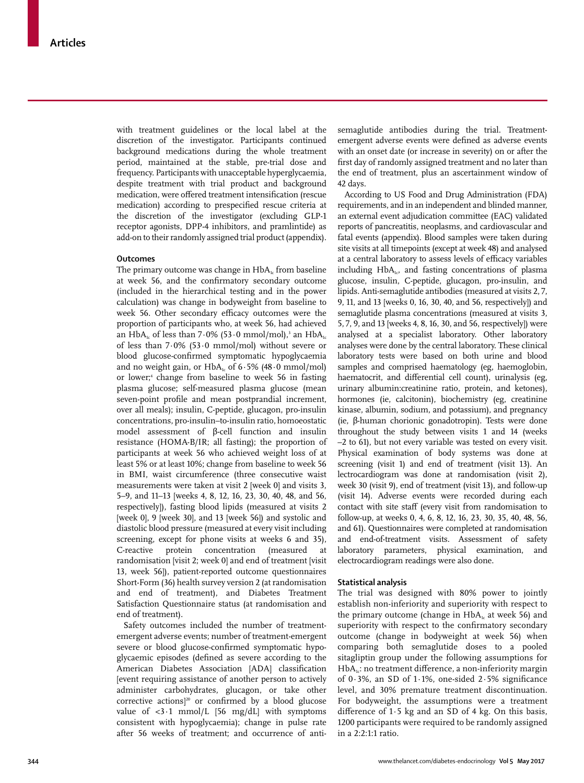with treatment guidelines or the local label at the discretion of the investigator. Participants continued background medications during the whole treatment period, maintained at the stable, pre-trial dose and frequency. Participants with unacceptable hyperglycaemia, despite treatment with trial product and background medication, were offered treatment intensification (rescue medication) according to prespecified rescue criteria at the discretion of the investigator (excluding GLP-1 receptor agonists, DPP-4 inhibitors, and pramlintide) as add-on to their randomly assigned trial product (appendix).

# **Outcomes**

The primary outcome was change in  $HbA<sub>k</sub>$  from baseline at week 56, and the confirmatory secondary outcome (included in the hierarchical testing and in the power calculation) was change in bodyweight from baseline to week 56. Other secondary efficacy outcomes were the proportion of participants who, at week 56, had achieved an HbA $_{\textrm{\tiny{lc}}}$  of less than 7 $\cdot$ 0% (53 $\cdot$ 0 mmol/mol), $^{\textrm{\tiny{3}}}$  an HbA $_{\textrm{\tiny{1c}}}$ of less than 7·0% (53·0 mmol/mol) without severe or blood glucose-confirmed symptomatic hypoglycaemia and no weight gain, or  $HbA<sub>i</sub>$  of 6.5% (48.0 mmol/mol) or lower;4 change from baseline to week 56 in fasting plasma glucose; self-measured plasma glucose (mean seven-point profile and mean postprandial increment, over all meals); insulin, C-peptide, glucagon, pro-insulin concentrations, pro-insulin–to-insulin ratio, homoeostatic model assessment of β-cell function and insulin resistance (HOMA-B/IR; all fasting); the proportion of participants at week 56 who achieved weight loss of at least 5% or at least 10%; change from baseline to week 56 in BMI, waist circumference (three consecutive waist measurements were taken at visit 2 [week 0] and visits 3, 5–9, and 11–13 [weeks 4, 8, 12, 16, 23, 30, 40, 48, and 56, respectively]), fasting blood lipids (measured at visits 2 [week 0], 9 [week 30], and 13 [week 56]) and systolic and diastolic blood pressure (measured at every visit including screening, except for phone visits at weeks 6 and 35), C-reactive protein concentration (measured at randomisation [visit 2; week 0] and end of treatment [visit 13, week 56]), patient-reported outcome questionnaires Short-Form (36) health survey version 2 (at randomisation and end of treatment), and Diabetes Treatment Satisfaction Questionnaire status (at randomisation and end of treatment).

Safety outcomes included the number of treatmentemergent adverse events; number of treatment-emergent severe or blood glucose-confirmed symptomatic hypoglycaemic episodes (defined as severe according to the American Diabetes Association [ADA] classification [event requiring assistance of another person to actively administer carbohydrates, glucagon, or take other corrective actions<sup>120</sup> or confirmed by a blood glucose value of  $\langle 3\cdot 1 \rangle$  mmol/L [56 mg/dL] with symptoms consistent with hypoglycaemia); change in pulse rate after 56 weeks of treatment; and occurrence of antisemaglutide antibodies during the trial. Treatmentemergent adverse events were defined as adverse events with an onset date (or increase in severity) on or after the first day of randomly assigned treatment and no later than the end of treatment, plus an ascertainment window of 42 days.

According to US Food and Drug Administration (FDA) requirements, and in an independent and blinded manner, an external event adjudication committee (EAC) validated reports of pancreatitis, neoplasms, and cardiovascular and fatal events (appendix). Blood samples were taken during site visits at all timepoints (except at week 48) and analysed at a central laboratory to assess levels of efficacy variables including  $HbA<sub>i</sub>$ , and fasting concentrations of plasma glucose, insulin, C-peptide, glucagon, pro-insulin, and lipids. Anti-semaglutide antibodies (measured at visits 2, 7, 9, 11, and 13 [weeks 0, 16, 30, 40, and 56, respectively]) and semaglutide plasma concentrations (measured at visits 3, 5, 7, 9, and 13 [weeks 4, 8, 16, 30, and 56, respectively]) were analysed at a specialist laboratory. Other laboratory analyses were done by the central laboratory. These clinical laboratory tests were based on both urine and blood samples and comprised haematology (eg, haemoglobin, haematocrit, and differential cell count), urinalysis (eg, urinary albumin:creatinine ratio, protein, and ketones), hormones (ie, calcitonin), biochemistry (eg, creatinine kinase, albumin, sodium, and potassium), and pregnancy (ie, β-human chorionic gonadotropin). Tests were done throughout the study between visits 1 and 14 (weeks –2 to 61), but not every variable was tested on every visit. Physical examination of body systems was done at screening (visit 1) and end of treatment (visit 13). An lectrocardiogram was done at randomisation (visit 2), week 30 (visit 9), end of treatment (visit 13), and follow-up (visit 14). Adverse events were recorded during each contact with site staff (every visit from randomisation to follow-up, at weeks 0, 4, 6, 8, 12, 16, 23, 30, 35, 40, 48, 56, and 61). Questionnaires were completed at randomisation and end-of-treatment visits. Assessment of safety laboratory parameters, physical examination, and electrocardiogram readings were also done.

## **Statistical analysis**

The trial was designed with 80% power to jointly establish non-inferiority and superiority with respect to the primary outcome (change in  $HbA<sub>1c</sub>$  at week 56) and superiority with respect to the confirmatory secondary outcome (change in bodyweight at week 56) when comparing both semaglutide doses to a pooled sitagliptin group under the following assumptions for  $HbA<sub>1c</sub>$ : no treatment difference, a non-inferiority margin of  $0.3\%$ , an SD of 1.1%, one-sided  $2.5\%$  significance level, and 30% premature treatment discontinuation. For bodyweight, the assumptions were a treatment difference of 1·5 kg and an SD of 4 kg. On this basis, 1200 participants were required to be randomly assigned in a 2:2:1:1 ratio.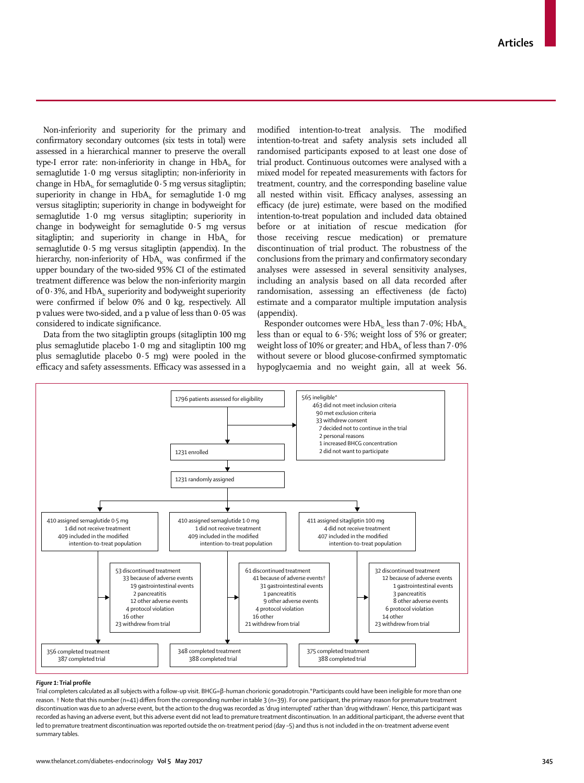Non-inferiority and superiority for the primary and confirmatory secondary outcomes (six tests in total) were assessed in a hierarchical manner to preserve the overall type-I error rate: non-inferiority in change in  $HbA_i$  for semaglutide 1·0 mg versus sitagliptin; non-inferiority in change in  $HbA_t$  for semaglutide 0.5 mg versus sitagliptin; superiority in change in  $HbA_i$  for semaglutide 1.0 mg versus sitagliptin; superiority in change in bodyweight for semaglutide 1·0 mg versus sitagliptin; superiority in change in bodyweight for semaglutide 0·5 mg versus sitagliptin; and superiority in change in HbA<sub>1c</sub> for semaglutide 0·5 mg versus sitagliptin (appendix). In the hierarchy, non-inferiority of  $HbA<sub>i</sub>$  was confirmed if the upper boundary of the two-sided 95% CI of the estimated treatment difference was below the non-inferiority margin of 0 $\cdot$ 3%, and HbA<sub>1c</sub> superiority and bodyweight superiority were confirmed if below 0% and 0 kg, respectively. All p values were two-sided, and a p value of less than 0·05 was considered to indicate significance.

Data from the two sitagliptin groups (sitagliptin 100 mg plus semaglutide placebo 1·0 mg and sitagliptin 100 mg plus semaglutide placebo 0·5 mg) were pooled in the efficacy and safety assessments. Efficacy was assessed in a modified intention-to-treat analysis. The modified intention-to-treat and safety analysis sets included all randomised participants exposed to at least one dose of trial product. Continuous outcomes were analysed with a mixed model for repeated measurements with factors for treatment, country, and the corresponding baseline value all nested within visit. Efficacy analyses, assessing an efficacy (de jure) estimate, were based on the modified intention-to-treat population and included data obtained before or at initiation of rescue medication (for those receiving rescue medication) or premature discontinuation of trial product. The robustness of the conclusions from the primary and confirmatory secondary analyses were assessed in several sensitivity analyses, including an analysis based on all data recorded after randomisation, assessing an effectiveness (de facto) estimate and a comparator multiple imputation analysis (appendix).

Responder outcomes were  $HbA_1$  less than 7 $\cdot$ 0%; HbA<sub>1c</sub> less than or equal to 6·5%; weight loss of 5% or greater; weight loss of 10% or greater; and  $HbA<sub>i</sub>$  of less than  $7.0\%$ without severe or blood glucose-confirmed symptomatic hypoglycaemia and no weight gain, all at week 56.



## *Figure 1***: Trial profile**

Trial completers calculated as all subjects with a follow-up visit. BHCG=β-human chorionic gonadotropin.\*Participants could have been ineligible for more than one reason. † Note that this number (n=41) differs from the corresponding number in table 3 (n=39). For one participant, the primary reason for premature treatment discontinuation was due to an adverse event, but the action to the drug was recorded as 'drug interrupted' rather than 'drug withdrawn'. Hence, this participant was recorded as having an adverse event, but this adverse event did not lead to premature treatment discontinuation. In an additional participant, the adverse event that led to premature treatment discontinuation was reported outside the on-treatment period (day –5) and thus is not included in the on-treatment adverse event summary tables.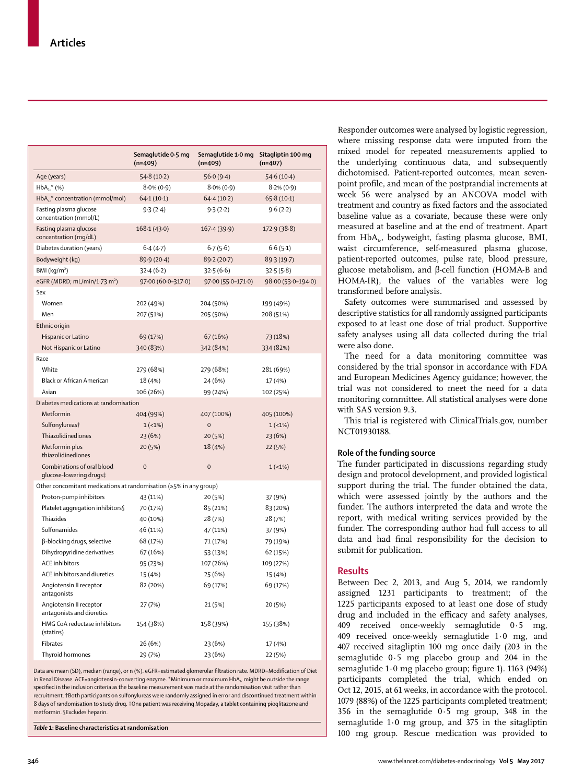|                                                                          | Semaglutide 0.5 mg<br>$(n=409)$ | Semaglutide 1.0 mg<br>$(n=409)$ | Sitagliptin 100 mg<br>$(n=407)$ |
|--------------------------------------------------------------------------|---------------------------------|---------------------------------|---------------------------------|
| Age (years)                                                              | 54.8(10.2)                      | 56.0(9.4)                       | 54.6(10.4)                      |
| $HbA_{1c}^*$ (%)                                                         | $8.0\%$ (0.9)                   | $8.0\%$ (0.9)                   | $8.2\%$ (0.9)                   |
| HbA <sub>1</sub> <sup>*</sup> concentration (mmol/mol)                   | 64.1(10.1)                      | 64.4(10.2)                      | 65.8(10.1)                      |
| Fasting plasma glucose<br>concentration (mmol/L)                         | 9.3(2.4)                        | 9.3(2.2)                        | 9.6(2.2)                        |
| Fasting plasma glucose<br>concentration (mg/dL)                          | 168.1(43.0)                     | 167.4(39.9)                     | 172.9(38.8)                     |
| Diabetes duration (years)                                                | 6.4(4.7)                        | 6.7(5.6)                        | 6.6(5.1)                        |
| Bodyweight (kg)                                                          | 89.9 (20.4)                     | 89-2 (20-7)                     | 89.3(19.7)                      |
| BM (kg/m <sup>2</sup> )                                                  | 32.4(6.2)                       | 32.5(6.6)                       | 32.5(5.8)                       |
| eGFR (MDRD; mL/min/1.73 m <sup>2</sup> )                                 | 97.00 (60.0-317.0)              | 97.00 (55.0-171.0)              | 98.00 (53.0-194.0)              |
| Sex                                                                      |                                 |                                 |                                 |
| Women                                                                    | 202 (49%)                       | 204 (50%)                       | 199 (49%)                       |
| Men                                                                      | 207 (51%)                       | 205 (50%)                       | 208 (51%)                       |
| Ethnic origin                                                            |                                 |                                 |                                 |
| Hispanic or Latino                                                       | 69 (17%)                        | 67 (16%)                        | 73 (18%)                        |
| Not Hispanic or Latino                                                   | 340 (83%)                       | 342 (84%)                       | 334 (82%)                       |
| Race                                                                     |                                 |                                 |                                 |
| White                                                                    | 279 (68%)                       | 279 (68%)                       | 281 (69%)                       |
| <b>Black or African American</b>                                         | 18 (4%)                         | 24 (6%)                         | 17 (4%)                         |
| Asian                                                                    | 106 (26%)                       | 99 (24%)                        | 102 (25%)                       |
| Diabetes medications at randomisation                                    |                                 |                                 |                                 |
| Metformin                                                                | 404 (99%)                       | 407 (100%)                      | 405 (100%)                      |
| Sulfonylureas <sup>†</sup>                                               | $1(-1%)$                        | $\overline{0}$                  | $1(-1%)$                        |
| Thiazolidinediones                                                       | 23 (6%)                         | 20 (5%)                         | 23 (6%)                         |
| Metformin plus<br>thiazolidinediones                                     | 20 (5%)                         | 18 (4%)                         | 22 (5%)                         |
| Combinations of oral blood<br>glucose-lowering drugs‡                    | $\overline{0}$                  | $\mathbf 0$                     | $1(-1%)$                        |
| Other concomitant medications at randomisation ( $\geq$ 5% in any group) |                                 |                                 |                                 |
| Proton-pump inhibitors                                                   | 43 (11%)                        | 20 (5%)                         | 37 (9%)                         |
| Platelet aggregation inhibitors§                                         | 70 (17%)                        | 85 (21%)                        | 83 (20%)                        |
| <b>Thiazides</b>                                                         | 40 (10%)                        | 28 (7%)                         | 28 (7%)                         |
| Sulfonamides                                                             | 46 (11%)                        | 47 (11%)                        | 37 (9%)                         |
| β-blocking drugs, selective                                              | 68 (17%)                        | 71 (17%)                        | 79 (19%)                        |
| Dihydropyridine derivatives                                              | 67 (16%)                        | 53 (13%)                        | 62 (15%)                        |
| <b>ACE</b> inhibitors                                                    | 95 (23%)                        | 107 (26%)                       | 109 (27%)                       |
| ACE inhibitors and diuretics                                             | 15 (4%)                         | 25 (6%)                         | 15 (4%)                         |
| Angiotensin II receptor<br>antagonists                                   | 82 (20%)                        | 69 (17%)                        | 69 (17%)                        |
| Angiotensin II receptor<br>antagonists and diuretics                     | 27 (7%)                         | 21 (5%)                         | 20 (5%)                         |
| HMG CoA reductase inhibitors<br>(statins)                                | 154 (38%)                       | 158 (39%)                       | 155 (38%)                       |
| Fibrates                                                                 | 26 (6%)                         | 23 (6%)                         | 17 (4%)                         |
| Thyroid hormones                                                         | 29 (7%)                         | 23 (6%)                         | 22 (5%)                         |

Data are mean (SD), median (range), or n (%). eGFR=estimated glomerular filtration rate. MDRD=Modification of Diet in Renal Disease. ACE=angiotensin-converting enzyme. \*Minimum or maximum HbA<sub>1c</sub> might be outside the range specified in the inclusion criteria as the baseline measurement was made at the randomisation visit rather than recruitment. †Both participants on sulfonylureas were randomly assigned in error and discontinued treatment within 8 days of randomisation to study drug. ‡One patient was receiving Mopaday, a tablet containing pioglitazone and metformin. §Excludes heparin.

*Table 1***: Baseline characteristics at randomisation**

Responder outcomes were analysed by logistic regression, where missing response data were imputed from the mixed model for repeated measurements applied to the underlying continuous data, and subsequently dichotomised. Patient-reported outcomes, mean sevenpoint profile, and mean of the postprandial increments at week 56 were analysed by an ANCOVA model with treatment and country as fixed factors and the associated baseline value as a covariate, because these were only measured at baseline and at the end of treatment. Apart from  $HbA_{1c}$ , bodyweight, fasting plasma glucose, BMI, waist circumference, self-measured plasma glucose, patient-reported outcomes, pulse rate, blood pressure, glucose metabolism, and β-cell function (HOMA-B and HOMA-IR), the values of the variables were log transformed before analysis.

Safety outcomes were summarised and assessed by descriptive statistics for all randomly assigned participants exposed to at least one dose of trial product. Supportive safety analyses using all data collected during the trial were also done.

The need for a data monitoring committee was considered by the trial sponsor in accordance with FDA and European Medicines Agency guidance; however, the trial was not considered to meet the need for a data monitoring committee. All statistical analyses were done with SAS version 9.3.

This trial is registered with ClinicalTrials.gov, number NCT01930188.

#### **Role of the funding source**

The funder participated in discussions regarding study design and protocol development, and provided logistical support during the trial. The funder obtained the data, which were assessed jointly by the authors and the funder. The authors interpreted the data and wrote the report, with medical writing services provided by the funder. The corresponding author had full access to all data and had final responsibility for the decision to submit for publication.

## **Results**

Between Dec 2, 2013, and Aug 5, 2014, we randomly assigned 1231 participants to treatment; of the 1225 participants exposed to at least one dose of study drug and included in the efficacy and safety analyses, 409 received once-weekly semaglutide 0·5 mg, 409 received once-weekly semaglutide 1·0 mg, and 407 received sitagliptin 100 mg once daily (203 in the semaglutide 0·5 mg placebo group and 204 in the semaglutide 1·0 mg placebo group; figure 1). 1163 (94%) participants completed the trial, which ended on Oct 12, 2015, at 61 weeks, in accordance with the protocol. 1079 (88%) of the 1225 participants completed treatment; 356 in the semaglutide 0·5 mg group, 348 in the semaglutide 1·0 mg group, and 375 in the sitagliptin 100 mg group. Rescue medication was provided to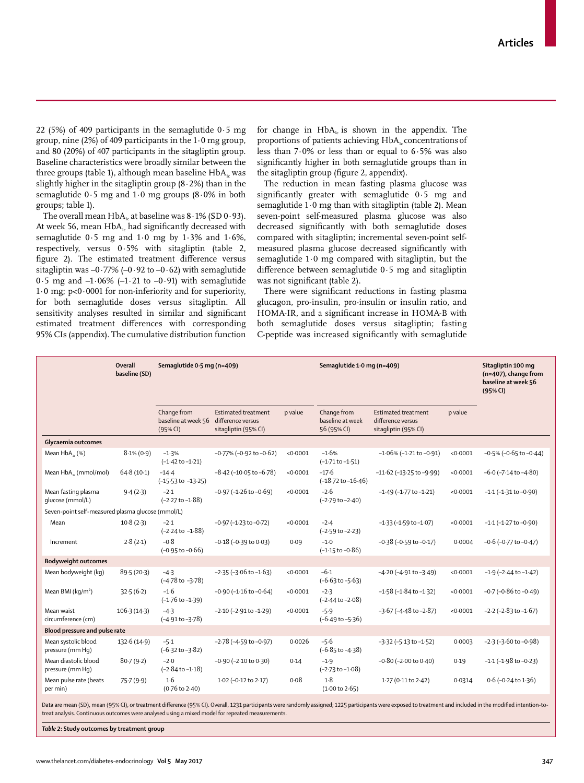22 (5%) of 409 participants in the semaglutide  $0.5$  mg group, nine  $(2\%)$  of 409 participants in the  $1.0$  mg group, and 80 (20%) of 407 participants in the sitagliptin group. Baseline characteristics were broadly similar between the three groups (table 1), although mean baseline  $HbA<sub>1c</sub>$  was slightly higher in the sitagliptin group  $(8.2%)$  than in the semaglutide 0·5 mg and 1·0 mg groups (8·0% in both groups; table 1).

The overall mean  $HbA<sub>1c</sub>$  at baseline was  $8.1\%$  (SD  $0.93$ ). At week 56, mean  $HbA<sub>i</sub>$  had significantly decreased with semaglutide  $0.5$  mg and  $1.0$  mg by  $1.3\%$  and  $1.6\%$ , respectively, versus 0·5% with sitagliptin (table 2, figure 2). The estimated treatment difference versus sitagliptin was  $-0.77\%$  ( $-0.92$  to  $-0.62$ ) with semaglutide  $0.5$  mg and  $-1.06\%$  ( $-1.21$  to  $-0.91$ ) with semaglutide 1·0 mg; p<0·0001 for non-inferiority and for superiority, for both semaglutide doses versus sitagliptin. All sensitivity analyses resulted in similar and significant estimated treatment differences with corresponding 95% CIs (appendix). The cumulative distribution function for change in  $HbA_k$  is shown in the appendix. The proportions of patients achieving  $HbA<sub>i</sub>$  concentrations of less than 7·0% or less than or equal to 6·5% was also significantly higher in both semaglutide groups than in the sitagliptin group (figure 2, appendix).

The reduction in mean fasting plasma glucose was significantly greater with semaglutide 0·5 mg and semaglutide 1·0 mg than with sitagliptin (table 2). Mean seven-point self-measured plasma glucose was also decreased significantly with both semaglutide doses compared with sitagliptin; incremental seven-point selfmeasured plasma glucose decreased significantly with semaglutide 1·0 mg compared with sitagliptin, but the difference between semaglutide 0·5 mg and sitagliptin was not significant (table 2).

There were significant reductions in fasting plasma glucagon, pro-insulin, pro-insulin or insulin ratio, and HOMA-IR, and a significant increase in HOMA-B with both semaglutide doses versus sitagliptin; fasting C-peptide was increased significantly with semaglutide

|                                                   | Overall<br>baseline (SD) | Semaglutide 0.5 mg (n=409)                     |                                                                         |          | Semaglutide 1.0 mg (n=409)                     |                                                                         |          | Sitagliptin 100 mg<br>(n=407), change from<br>baseline at week 56<br>(95% CI) |
|---------------------------------------------------|--------------------------|------------------------------------------------|-------------------------------------------------------------------------|----------|------------------------------------------------|-------------------------------------------------------------------------|----------|-------------------------------------------------------------------------------|
|                                                   |                          | Change from<br>baseline at week 56<br>(95% CI) | <b>Estimated treatment</b><br>difference versus<br>sitagliptin (95% CI) | p value  | Change from<br>baseline at week<br>56 (95% CI) | <b>Estimated treatment</b><br>difference versus<br>sitagliptin (95% CI) | p value  |                                                                               |
| Glycaemia outcomes                                |                          |                                                |                                                                         |          |                                                |                                                                         |          |                                                                               |
| Mean $HbA_{1}$ (%)                                | $8.1\% (0.9)$            | $-1.3%$<br>$(-1.42 \text{ to } -1.21)$         | $-0.77\%$ ( $-0.92$ to $-0.62$ )                                        | < 0.0001 | $-1.6%$<br>$(-1.71$ to $-1.51)$                | $-1.06\%$ ( $-1.21$ to $-0.91$ )                                        | < 0.0001 | $-0.5\%$ ( $-0.65$ to $-0.44$ )                                               |
| Mean HbA <sub>1</sub> (mmol/mol)                  | 64.8(10.1)               | $-14.4$<br>$(-15.53 \text{ to } -13.25)$       | $-8.42$ ( $-10.05$ to $-6.78$ )                                         | < 0.0001 | $-17.6$<br>$(-18.72 \text{ to } -16.46)$       | $-11.62$ ( $-13.25$ to $-9.99$ )                                        | < 0.0001 | $-6.0$ ( $-7.14$ to $-4.80$ )                                                 |
| Mean fasting plasma<br>glucose (mmol/L)           | 9.4(2.3)                 | $-2.1$<br>$(-2.27 \text{ to } -1.88)$          | $-0.97$ ( $-1.26$ to $-0.69$ )                                          | < 0.0001 | $-2.6$<br>$(-2.79 \text{ to } -2.40)$          | $-1.49$ ( $-1.77$ to $-1.21$ )                                          | < 0.0001 | $-1.1$ ( $-1.31$ to $-0.90$ )                                                 |
| Seven-point self-measured plasma glucose (mmol/L) |                          |                                                |                                                                         |          |                                                |                                                                         |          |                                                                               |
| Mean                                              | 10.8(2.3)                | $-2.1$<br>$(-2.24 \text{ to } -1.88)$          | $-0.97$ ( $-1.23$ to $-0.72$ )                                          | < 0.0001 | $-2.4$<br>$(-2.59$ to $-2.23)$                 | $-1.33$ ( $-1.59$ to $-1.07$ )                                          | < 0.0001 | $-1.1$ ( $-1.27$ to $-0.90$ )                                                 |
| Increment                                         | 2.8(2.1)                 | $-0.8$<br>$(-0.95 \text{ to } -0.66)$          | $-0.18$ ( $-0.39$ to $0.03$ )                                           | 0.09     | $-1.0$<br>$(-1.15 \text{ to } -0.86)$          | $-0.38$ ( $-0.59$ to $-0.17$ )                                          | 0.0004   | $-0.6$ ( $-0.77$ to $-0.47$ )                                                 |
| <b>Bodyweight outcomes</b>                        |                          |                                                |                                                                         |          |                                                |                                                                         |          |                                                                               |
| Mean bodyweight (kg)                              | 89.5(20.3)               | $-4.3$<br>$(-4.78 \text{ to } -3.78)$          | $-2.35(-3.06 \text{ to } -1.63)$                                        | < 0.0001 | $-6.1$<br>$(-6.63 \text{ to } -5.63)$          | $-4.20$ ( $-4.91$ to $-3.49$ )                                          | < 0.0001 | $-1.9$ ( $-2.44$ to $-1.42$ )                                                 |
| Mean BMI (kg/m <sup>2</sup> )                     | 32.5(6.2)                | $-1.6$<br>$(-1.76 \text{ to } -1.39)$          | $-0.90$ ( $-1.16$ to $-0.64$ )                                          | < 0.0001 | $-2.3$<br>$(-2.44$ to $-2.08)$                 | $-1.58$ ( $-1.84$ to $-1.32$ )                                          | < 0.0001 | $-0.7$ ( $-0.86$ to $-0.49$ )                                                 |
| Mean waist<br>circumference (cm)                  | 106.3(14.3)              | $-4.3$<br>$(-4.91 to -3.78)$                   | $-2.10$ ( $-2.91$ to $-1.29$ )                                          | < 0.0001 | $-5.9$<br>$(-6.49 \text{ to } -5.36)$          | $-3.67$ ( $-4.48$ to $-2.87$ )                                          | < 0.0001 | $-2.2$ ( $-2.83$ to $-1.67$ )                                                 |
| Blood pressure and pulse rate                     |                          |                                                |                                                                         |          |                                                |                                                                         |          |                                                                               |
| Mean systolic blood<br>pressure (mm Hq)           | 132.6(14.9)              | $-5.1$<br>$(-6.32 \text{ to } -3.82)$          | $-2.78$ ( $-4.59$ to $-0.97$ )                                          | 0.0026   | $-5.6$<br>$(-6.85 \text{ to } -4.38)$          | $-3.32$ ( $-5.13$ to $-1.52$ )                                          | 0.0003   | $-2.3$ ( $-3.60$ to $-0.98$ )                                                 |
| Mean diastolic blood<br>pressure (mm Hq)          | 80.7(9.2)                | $-2.0$<br>$(-2.84 \text{ to } -1.18)$          | $-0.90$ ( $-2.10$ to $0.30$ )                                           | 0.14     | $-1.9$<br>$(-2.73 \text{ to } -1.08)$          | $-0.80$ ( $-2.00$ to $0.40$ )                                           | 0.19     | $-1.1$ ( $-1.98$ to $-0.23$ )                                                 |
| Mean pulse rate (beats<br>per min)                | 75.7(9.9)                | 1.6<br>$(0.76 \text{ to } 2.40)$               | 1.02 (-0.12 to 2.17)                                                    | 0.08     | 1.8<br>$(1.00 \text{ to } 2.65)$               | $1.27(0.11$ to $2.42)$                                                  | 0.0314   | $0.6$ (-0.24 to 1.36)                                                         |

Data are mean (SD), mean (95% CI), or treatment difference (95% CI). Overall, 1231 participants were randomly assigned; 1225 participants were exposed to treatment and included in the modified intention-totreat analysis. Continuous outcomes were analysed using a mixed model for repeated measurements.

*Table 2***: Study outcomes by treatment group**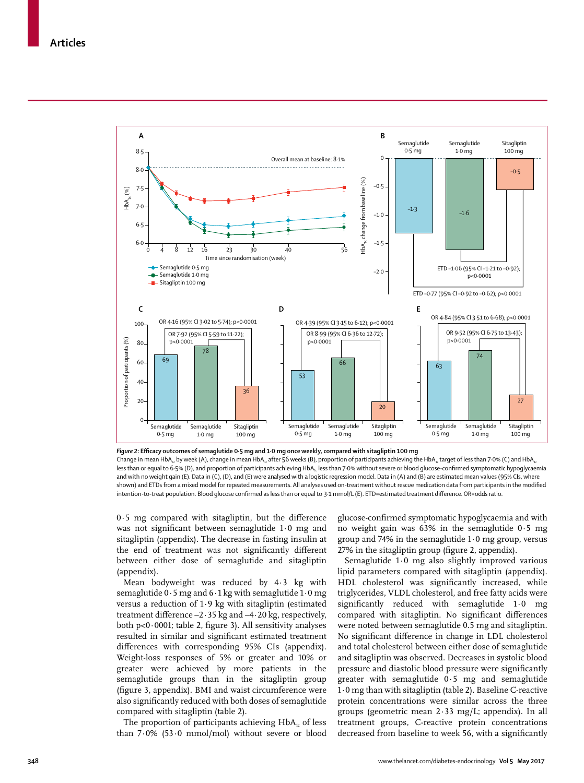

*Figure 2***: Efficacy outcomes of semaglutide 0·5 mg and 1·0 mg once weekly, compared with sitagliptin 100 mg** Change in mean HbA<sub>1c</sub> by week (A), change in mean HbA<sub>1c</sub> after 56 weeks (B), proportion of participants achieving the HbA<sub>1c</sub> target of less than 7·0% (C) and HbA<sub>1c</sub> less than or equal to 6-5% (D), and proportion of participants achieving HbA., less than 7-0% without severe or blood glucose-confirmed symptomatic hypoglycaemia and with no weight gain (E). Data in (C), (D), and (E) were analysed with a logistic regression model. Data in (A) and (B) are estimated mean values (95% CIs, where shown) and ETDs from a mixed model for repeated measurements. All analyses used on-treatment without rescue medication data from participants in the modified intention-to-treat population. Blood glucose confirmed as less than or equal to 3·1 mmol/L (E). ETD=estimated treatment difference. OR=odds ratio.

0·5 mg compared with sitagliptin, but the difference was not significant between semaglutide 1·0 mg and sitagliptin (appendix). The decrease in fasting insulin at the end of treatment was not significantly different between either dose of semaglutide and sitagliptin (appendix).

Mean bodyweight was reduced by 4·3 kg with semaglutide 0·5 mg and 6·1 kg with semaglutide 1·0 mg versus a reduction of 1·9 kg with sitagliptin (estimated treatment difference –2·35 kg and –4·20 kg, respectively, both p<0·0001; table 2, figure 3). All sensitivity analyses resulted in similar and significant estimated treatment differences with corresponding 95% CIs (appendix). Weight-loss responses of 5% or greater and 10% or greater were achieved by more patients in the semaglutide groups than in the sitagliptin group (figure 3, appendix). BMI and waist circumference were also significantly reduced with both doses of semaglutide compared with sitagliptin (table 2).

The proportion of participants achieving HbA<sub>1c</sub> of less than 7·0% (53·0 mmol/mol) without severe or blood glucose-confirmed symptomatic hypoglycaemia and with no weight gain was 63% in the semaglutide 0·5 mg group and 74% in the semaglutide 1·0 mg group, versus 27% in the sitagliptin group (figure 2, appendix).

Semaglutide 1·0 mg also slightly improved various lipid parameters compared with sitagliptin (appendix). HDL cholesterol was significantly increased, while triglycerides, VLDL cholesterol, and free fatty acids were significantly reduced with semaglutide 1·0 mg compared with sitagliptin. No significant differences were noted between semaglutide 0.5 mg and sitagliptin. No significant difference in change in LDL cholesterol and total cholesterol between either dose of semaglutide and sitagliptin was observed. Decreases in systolic blood pressure and diastolic blood pressure were significantly greater with semaglutide 0·5 mg and semaglutide 1·0 mg than with sitagliptin (table 2). Baseline C-reactive protein concentrations were similar across the three groups (geometric mean 2·33 mg/L; appendix). In all treatment groups, C-reactive protein concentrations decreased from baseline to week 56, with a significantly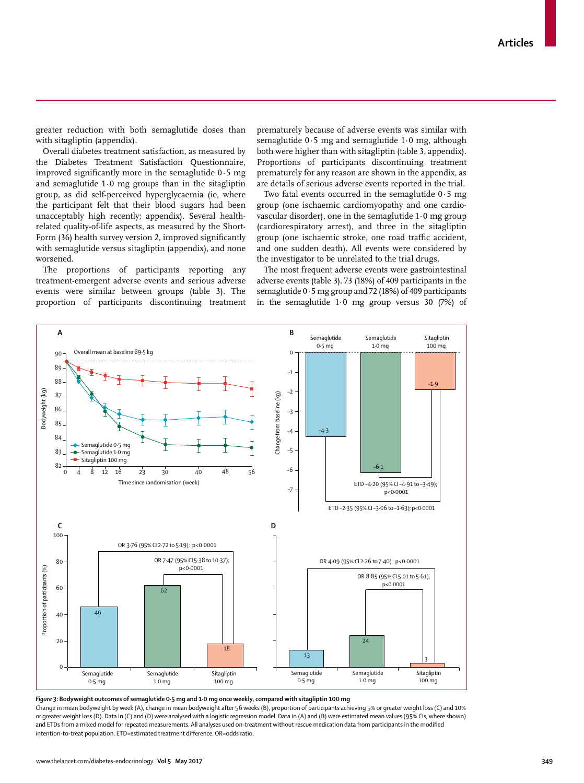greater reduction with both semaglutide doses than with sitagliptin (appendix).

Overall diabetes treatment satisfaction, as measured by the Diabetes Treatment Satisfaction Questionnaire, improved significantly more in the semaglutide 0·5 mg and semaglutide 1·0 mg groups than in the sitagliptin group, as did self-perceived hyperglycaemia (ie, where the participant felt that their blood sugars had been unacceptably high recently; appendix). Several healthrelated quality-of-life aspects, as measured by the Short-Form (36) health survey version 2, improved significantly with semaglutide versus sitagliptin (appendix), and none worsened.

The proportions of participants reporting any treatment-emergent adverse events and serious adverse events were similar between groups (table 3). The proportion of participants discontinuing treatment

Overall mean at baseline 89·5 kg

88 8<sub>9</sub> 90

**A**

prematurely because of adverse events was similar with semaglutide 0·5 mg and semaglutide 1·0 mg, although both were higher than with sitagliptin (table 3, appendix). Proportions of participants discontinuing treatment prematurely for any reason are shown in the appendix, as are details of serious adverse events reported in the trial.

Two fatal events occurred in the semaglutide 0·5 mg group (one ischaemic cardiomyopathy and one cardiovascular disorder), one in the semaglutide 1·0 mg group (cardiorespiratory arrest), and three in the sitagliptin group (one ischaemic stroke, one road traffic accident, and one sudden death). All events were considered by the investigator to be unrelated to the trial drugs.

The most frequent adverse events were gastrointestinal adverse events (table 3). 73 (18%) of 409 participants in the semaglutide 0·5 mg group and 72 (18%) of 409 participants in the semaglutide 1·0 mg group versus 30 (7%) of

> Semaglutide 1·0 mg

> > $-1.9$

Sitagliptin 100 mg



–1  $\overline{0}$ 

**B**

Semaglutide 0·5 mg

*Figure 3***: Bodyweight outcomes of semaglutide 0·5 mg and 1·0 mg once weekly, compared with sitagliptin 100 mg**

Change in mean bodyweight by week (A), change in mean bodyweight after 56 weeks (B), proportion of participants achieving 5% or greater weight loss (C) and 10% or greater weight loss (D). Data in (C) and (D) were analysed with a logistic regression model. Data in (A) and (B) were estimated mean values (95% CIs, where shown) and ETDs from a mixed model for repeated measurements. All analyses used on-treatment without rescue medication data from participants in the modified intention-to-treat population. ETD=estimated treatment difference. OR=odds ratio.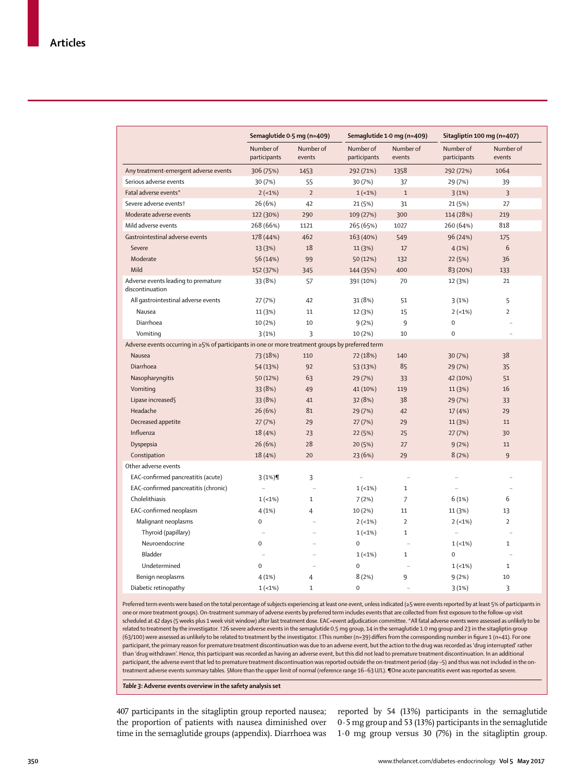|                                                                                                   | Semaglutide 0.5 mg (n=409) |                      | Semaglutide 1.0 mg (n=409) |                     | Sitagliptin 100 mg (n=407) |                      |
|---------------------------------------------------------------------------------------------------|----------------------------|----------------------|----------------------------|---------------------|----------------------------|----------------------|
|                                                                                                   | Number of<br>participants  | Number of<br>events  | Number of<br>participants  | Number of<br>events | Number of<br>participants  | Number of<br>events  |
| Any treatment-emergent adverse events                                                             | 306 (75%)                  | 1453                 | 292 (71%)                  | 1358                | 292 (72%)                  | 1064                 |
| Serious adverse events                                                                            | 30 (7%)                    | 55                   | 30 (7%)                    | 37                  | 29 (7%)                    | 39                   |
| Fatal adverse events*                                                                             | $2(-1%)$                   | $\overline{2}$       | $1(-1%)$                   | $\mathbf{1}$        | 3(1%)                      | 3                    |
| Severe adverse eventst                                                                            | 26 (6%)                    | 42                   | 21 (5%)                    | 31                  | 21 (5%)                    | 27                   |
| Moderate adverse events                                                                           | 122 (30%)                  | 290                  | 109 (27%)                  | 300                 | 114 (28%)                  | 219                  |
| Mild adverse events                                                                               | 268 (66%)                  | 1121                 | 265 (65%)                  | 1027                | 260 (64%)                  | 818                  |
| Gastrointestinal adverse events                                                                   | 178 (44%)                  | 462                  | 163 (40%)                  | 549                 | 96 (24%)                   | 175                  |
| Severe                                                                                            | 13 (3%)                    | 18                   | 11 (3%)                    | 17                  | 4(1%)                      | 6                    |
| Moderate                                                                                          | 56 (14%)                   | 99                   | 50 (12%)                   | 132                 | 22 (5%)                    | 36                   |
| Mild                                                                                              | 152 (37%)                  | 345                  | 144 (35%)                  | 400                 | 83 (20%)                   | 133                  |
| Adverse events leading to premature<br>discontinuation                                            | 33 (8%)                    | 57                   | 39‡ (10%)                  | 70                  | 12 (3%)                    | 21                   |
| All gastrointestinal adverse events                                                               | 27 (7%)                    | 42                   | 31 (8%)                    | 51                  | 3(1%)                      | 5                    |
| Nausea                                                                                            | 11 (3%)                    | 11                   | 12 (3%)                    | 15                  | $2(-1%)$                   | $\overline{2}$       |
| Diarrhoea                                                                                         | 10 (2%)                    | 10                   | 9(2%)                      | 9                   | $\mathbf 0$                | $\ddotsc$            |
| Vomiting                                                                                          | 3(1%)                      | 3                    | 10 (2%)                    | 10                  | $\mathbf 0$                | $\ddotsc$            |
| Adverse events occurring in ≥5% of participants in one or more treatment groups by preferred term |                            |                      |                            |                     |                            |                      |
| Nausea                                                                                            | 73 (18%)                   | 110                  | 72 (18%)                   | 140                 | 30 (7%)                    | 38                   |
| Diarrhoea                                                                                         | 54 (13%)                   | 92                   | 53 (13%)                   | 85                  | 29 (7%)                    | 35                   |
| Nasopharyngitis                                                                                   | 50 (12%)                   | 63                   | 29 (7%)                    | 33                  | 42 (10%)                   | 51                   |
| Vomiting                                                                                          | 33 (8%)                    | 49                   | 41 (10%)                   | 119                 | 11 (3%)                    | 16                   |
| Lipase increased§                                                                                 | 33 (8%)                    | 41                   | 32 (8%)                    | 38                  | 29 (7%)                    | 33                   |
| Headache                                                                                          | 26 (6%)                    | 81                   | 29 (7%)                    | 42                  | 17(4%)                     | 29                   |
| Decreased appetite                                                                                | 27(7%)                     | 29                   | 27(7%)                     | 29                  | 11 (3%)                    | 11                   |
| Influenza                                                                                         | 18 (4%)                    | 23                   | 22 (5%)                    | 25                  | 27(7%)                     | 30                   |
| Dyspepsia                                                                                         | 26(6%)                     | 28                   | 20(5%)                     | 27                  | 9(2%)                      | 11                   |
| Constipation                                                                                      | 18 (4%)                    | 20                   | 23(6%)                     | 29                  | 8(2%)                      | 9                    |
| Other adverse events                                                                              |                            |                      |                            |                     |                            |                      |
| EAC-confirmed pancreatitis (acute)                                                                | 3(1%)                      | 3                    | $\ddotsc$                  | ä.                  | $\ddotsc$                  |                      |
| EAC-confirmed pancreatitis (chronic)                                                              | $\ldots$                   | $\ddotsc$            | $1(-1%)$                   | $\mathbf{1}$        | $\ddotsc$                  | $\ddot{\phantom{a}}$ |
| Cholelithiasis                                                                                    | $1(-1%)$                   | $\mathbf{1}$         | 7(2%)                      | $\overline{7}$      | 6(1%)                      | 6                    |
| EAC-confirmed neoplasm                                                                            | 4(1%)                      | $\overline{4}$       | 10 (2%)                    | 11                  | 11 (3%)                    | 13                   |
| Malignant neoplasms                                                                               | $\mathbf 0$                |                      | $2(-1%)$                   | $\overline{2}$      | $2(-1%)$                   | $\overline{2}$       |
| Thyroid (papillary)                                                                               | $\ldots$                   | $\ddot{\phantom{0}}$ | $1(-1%)$                   | $\mathbf{1}$        | $\cdots$                   | $\ddot{\phantom{a}}$ |
| Neuroendocrine                                                                                    | $\mathbf 0$                |                      | $\mathbf 0$                | t.                  | $1(-1%)$                   | $\mathbf{1}$         |
| Bladder                                                                                           | $\ddotsc$                  | $\ddotsc$            | $1(-1%)$                   | $\mathbf{1}$        | 0                          | $\ddot{\phantom{a}}$ |
| Undetermined                                                                                      | $\mathbf 0$                | $\ddotsc$            | $\mathbf 0$                | ä,                  | $1(-1%)$                   | $\mathbf{1}$         |
| Benign neoplasms                                                                                  | 4(1%)                      | $\overline{4}$       | 8(2%)                      | 9                   | 9(2%)                      | 10                   |
| Diabetic retinopathy                                                                              | $1(-1%)$                   | $\mathbf 1$          | $\pmb{0}$                  |                     | 3(1%)                      | 3                    |

Preferred term events were based on the total percentage of subjects experiencing at least one event, unless indicated (≥5 were events reported by at least 5% of participants in one or more treatment groups). On-treatment summary of adverse events by preferred term includes events that are collected from first exposure to the follow-up visit scheduled at 42 days (5 weeks plus 1 week visit window) after last treatment dose. EAC=event adjudication committee. \*All fatal adverse events were assessed as unlikely to be related to treatment by the investigator. †26 severe adverse events in the semaglutide 0.5 mg group, 14 in the semaglutide 1.0 mg group and 23 in the sitagliptin group (63/100) were assessed as unlikely to be related to treatment by the investigator. ‡This number (n=39) differs from the corresponding number in figure 1 (n=41). For one participant, the primary reason for premature treatment discontinuation was due to an adverse event, but the action to the drug was recorded as 'drug interrupted' rather than 'drug withdrawn'. Hence, this participant was recorded as having an adverse event, but this did not lead to premature treatment discontinuation. In an additional participant, the adverse event that led to premature treatment discontinuation was reported outside the on-treatment period (day -5) and thus was not included in the ontreatment adverse events summary tables. §More than the upper limit of normal (reference range 16−63 U/L). ¶One acute pancreatitis event was reported as severe.

*Table 3***: Adverse events overview in the safety analysis set**

407 participants in the sitagliptin group reported nausea; the proportion of patients with nausea diminished over time in the semaglutide groups (appendix). Diarrhoea was 1·0 mg group versus 30 (7%) in the sitagliptin group.

reported by 54 (13%) participants in the semaglutide 0·5 mg group and 53 (13%) participants in the semaglutide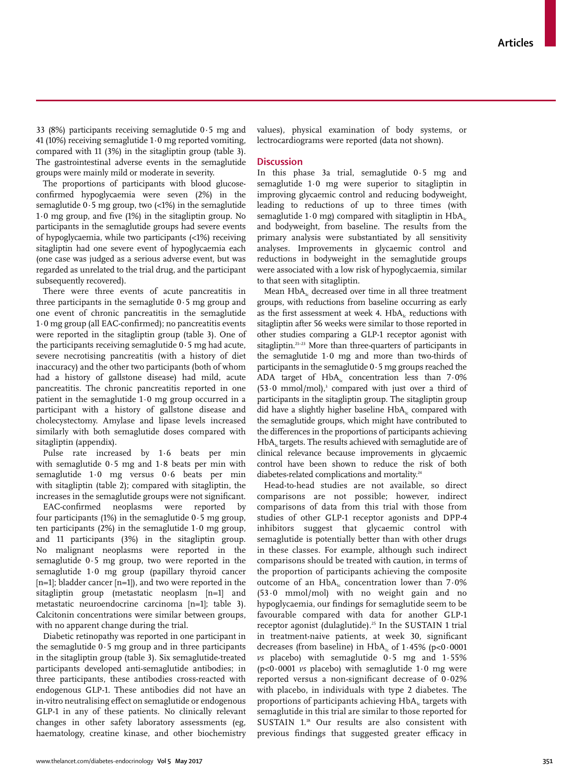33 (8%) participants receiving semaglutide 0·5 mg and 41 (10%) receiving semaglutide 1·0 mg reported vomiting, compared with 11 (3%) in the sitagliptin group (table 3). The gastrointestinal adverse events in the semaglutide groups were mainly mild or moderate in severity.

The proportions of participants with blood glucoseconfirmed hypoglycaemia were seven (2%) in the semaglutide  $0.5$  mg group, two  $\left\langle 1\% \right\rangle$  in the semaglutide 1·0 mg group, and five (1%) in the sitagliptin group. No participants in the semaglutide groups had severe events of hypoglycaemia, while two participants (<1%) receiving sitagliptin had one severe event of hypoglycaemia each (one case was judged as a serious adverse event, but was regarded as unrelated to the trial drug, and the participant subsequently recovered).

There were three events of acute pancreatitis in three participants in the semaglutide  $0.5$  mg group and one event of chronic pancreatitis in the semaglutide 1·0 mg group (all EAC-confirmed); no pancreatitis events were reported in the sitagliptin group (table 3). One of the participants receiving semaglutide  $0.5$  mg had acute, severe necrotising pancreatitis (with a history of diet inaccuracy) and the other two participants (both of whom had a history of gallstone disease) had mild, acute pancreatitis. The chronic pancreatitis reported in one patient in the semaglutide 1·0 mg group occurred in a participant with a history of gallstone disease and cholecystectomy. Amylase and lipase levels increased similarly with both semaglutide doses compared with sitagliptin (appendix).

Pulse rate increased by 1·6 beats per min with semaglutide 0·5 mg and 1·8 beats per min with semaglutide 1·0 mg versus 0·6 beats per min with sitagliptin (table 2); compared with sitagliptin, the increases in the semaglutide groups were not significant.

EAC-confirmed neoplasms were reported by four participants  $(1%)$  in the semaglutide  $0.5$  mg group, ten participants (2%) in the semaglutide 1·0 mg group, and 11 participants (3%) in the sitagliptin group. No malignant neoplasms were reported in the semaglutide 0·5 mg group, two were reported in the semaglutide 1·0 mg group (papillary thyroid cancer  $[n=1]$ ; bladder cancer  $[n=1]$ ), and two were reported in the sitagliptin group (metastatic neoplasm [n=1] and metastatic neuroendocrine carcinoma [n=1]; table 3). Calcitonin concentrations were similar between groups, with no apparent change during the trial.

Diabetic retinopathy was reported in one participant in the semaglutide  $0.5$  mg group and in three participants in the sitagliptin group (table 3). Six semaglutide-treated participants developed anti-semaglutide antibodies; in three participants, these antibodies cross-reacted with endogenous GLP-1. These antibodies did not have an in-vitro neutralising effect on semaglutide or endogenous GLP-1 in any of these patients. No clinically relevant changes in other safety laboratory assessments (eg, haematology, creatine kinase, and other biochemistry values), physical examination of body systems, or lectrocardiograms were reported (data not shown).

# **Discussion**

In this phase 3a trial, semaglutide 0·5 mg and semaglutide 1·0 mg were superior to sitagliptin in improving glycaemic control and reducing bodyweight, leading to reductions of up to three times (with semaglutide 1.0 mg) compared with sitagliptin in  $HbA_{1c}$ and bodyweight, from baseline. The results from the primary analysis were substantiated by all sensitivity analyses. Improvements in glycaemic control and reductions in bodyweight in the semaglutide groups were associated with a low risk of hypoglycaemia, similar to that seen with sitagliptin.

Mean  $HbA<sub>1c</sub>$  decreased over time in all three treatment groups, with reductions from baseline occurring as early as the first assessment at week 4.  $HbA_i$  reductions with sitagliptin after 56 weeks were similar to those reported in other studies comparing a GLP-1 receptor agonist with sitagliptin.<sup>21-23</sup> More than three-quarters of participants in the semaglutide 1·0 mg and more than two-thirds of participants in the semaglutide 0·5 mg groups reached the ADA target of  $HbA_1c$  concentration less than  $7.0\%$  $(53.0 \text{ mmol/mol})$ ,<sup>3</sup> compared with just over a third of participants in the sitagliptin group. The sitagliptin group did have a slightly higher baseline  $HbA<sub>i</sub>$  compared with the semaglutide groups, which might have contributed to the differences in the proportions of participants achieving  $HbA<sub>i</sub>$  targets. The results achieved with semaglutide are of clinical relevance because improvements in glycaemic control have been shown to reduce the risk of both diabetes-related complications and mortality.<sup>24</sup>

Head-to-head studies are not available, so direct comparisons are not possible; however, indirect comparisons of data from this trial with those from studies of other GLP-1 receptor agonists and DPP-4 inhibitors suggest that glycaemic control with semaglutide is potentially better than with other drugs in these classes. For example, although such indirect comparisons should be treated with caution, in terms of the proportion of participants achieving the composite outcome of an  $HbA<sub>1c</sub>$  concentration lower than 7.0% (53·0 mmol/mol) with no weight gain and no hypoglycaemia, our findings for semaglutide seem to be favourable compared with data for another GLP-1 receptor agonist (dulaglutide).25 In the SUSTAIN 1 trial in treatment-naive patients, at week 30, significant decreases (from baseline) in  $HbA<sub>1c</sub>$  of 1.45% (p<0.0001 *vs* placebo) with semaglutide 0·5 mg and 1·55% (p<0·0001 *vs* placebo) with semaglutide 1·0 mg were reported versus a non-significant decrease of 0·02% with placebo, in individuals with type 2 diabetes. The proportions of participants achieving  $HbA<sub>i</sub>$  targets with semaglutide in this trial are similar to those reported for SUSTAIN 1.<sup>18</sup> Our results are also consistent with previous findings that suggested greater efficacy in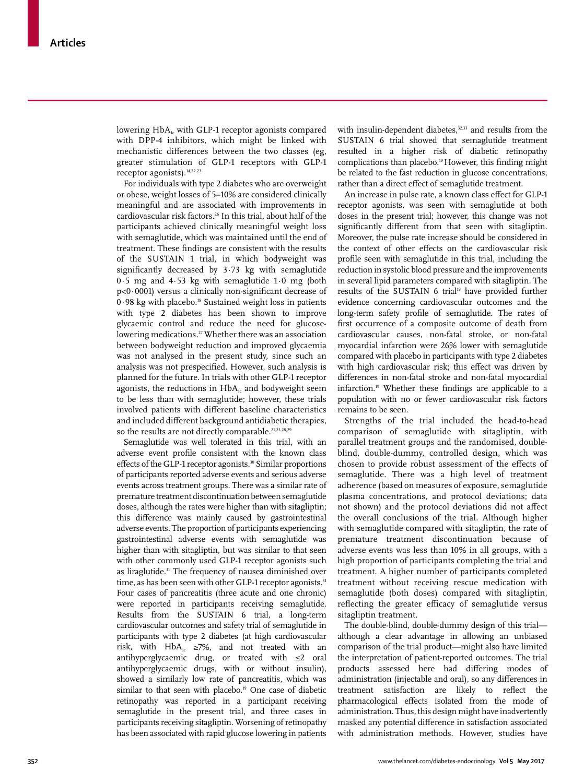lowering  $HbA<sub>i</sub>$  with GLP-1 receptor agonists compared with DPP-4 inhibitors, which might be linked with mechanistic differences between the two classes (eg, greater stimulation of GLP-1 receptors with GLP-1 receptor agonists). $14,22,23$ 

For individuals with type 2 diabetes who are overweight or obese, weight losses of 5–10% are considered clinically meaningful and are associated with improvements in cardiovascular risk factors.<sup>26</sup> In this trial, about half of the participants achieved clinically meaningful weight loss with semaglutide, which was maintained until the end of treatment. These findings are consistent with the results of the SUSTAIN 1 trial, in which bodyweight was significantly decreased by 3·73 kg with semaglutide 0·5 mg and 4·53 kg with semaglutide 1·0 mg (both p<0·0001) versus a clinically non-significant decrease of 0.98 kg with placebo.<sup>18</sup> Sustained weight loss in patients with type 2 diabetes has been shown to improve glycaemic control and reduce the need for glucoselowering medications.<sup>27</sup> Whether there was an association between bodyweight reduction and improved glycaemia was not analysed in the present study, since such an analysis was not prespecified. However, such analysis is planned for the future. In trials with other GLP-1 receptor agonists, the reductions in  $HbA<sub>i</sub>$  and bodyweight seem to be less than with semaglutide; however, these trials involved patients with different baseline characteristics and included different background antidiabetic therapies, so the results are not directly comparable.<sup>21,23,28,29</sup>

Semaglutide was well tolerated in this trial, with an adverse event profile consistent with the known class effects of the GLP-1 receptor agonists.<sup>30</sup> Similar proportions of participants reported adverse events and serious adverse events across treatment groups. There was a similar rate of premature treatment discontinuation between semaglutide doses, although the rates were higher than with sitagliptin; this difference was mainly caused by gastrointestinal adverse events. The proportion of participants experiencing gastrointestinal adverse events with semaglutide was higher than with sitagliptin, but was similar to that seen with other commonly used GLP-1 receptor agonists such as liraglutide.<sup>31</sup> The frequency of nausea diminished over time, as has been seen with other GLP-1 receptor agonists.<sup>31</sup> Four cases of pancreatitis (three acute and one chronic) were reported in participants receiving semaglutide. Results from the SUSTAIN 6 trial, a long-term cardiovascular outcomes and safety trial of semaglutide in participants with type 2 diabetes (at high cardiovascular risk, with  $HbA_1c \geq 7\%$ , and not treated with an antihyperglycaemic drug, or treated with ≤2 oral antihyperglycaemic drugs, with or without insulin), showed a similarly low rate of pancreatitis, which was similar to that seen with placebo.<sup>19</sup> One case of diabetic retinopathy was reported in a participant receiving semaglutide in the present trial, and three cases in participants receiving sitagliptin. Worsening of retinopathy has been associated with rapid glucose lowering in patients with insulin-dependent diabetes,<sup>32,33</sup> and results from the SUSTAIN 6 trial showed that semaglutide treatment resulted in a higher risk of diabetic retinopathy complications than placebo.19 However, this finding might be related to the fast reduction in glucose concentrations, rather than a direct effect of semaglutide treatment.

An increase in pulse rate, a known class effect for GLP-1 receptor agonists, was seen with semaglutide at both doses in the present trial; however, this change was not significantly different from that seen with sitagliptin. Moreover, the pulse rate increase should be considered in the context of other effects on the cardiovascular risk profile seen with semaglutide in this trial, including the reduction in systolic blood pressure and the improvements in several lipid parameters compared with sitagliptin. The results of the SUSTAIN 6 trial<sup>19</sup> have provided further evidence concerning cardiovascular outcomes and the long-term safety profile of semaglutide. The rates of first occurrence of a composite outcome of death from cardiovascular causes, non-fatal stroke, or non-fatal myocardial infarction were 26% lower with semaglutide compared with placebo in participants with type 2 diabetes with high cardiovascular risk; this effect was driven by differences in non-fatal stroke and non-fatal myocardial infarction.19 Whether these findings are applicable to a population with no or fewer cardiovascular risk factors remains to be seen.

Strengths of the trial included the head-to-head comparison of semaglutide with sitagliptin, with parallel treatment groups and the randomised, doubleblind, double-dummy, controlled design, which was chosen to provide robust assessment of the effects of semaglutide. There was a high level of treatment adherence (based on measures of exposure, semaglutide plasma concentrations, and protocol deviations; data not shown) and the protocol deviations did not affect the overall conclusions of the trial. Although higher with semaglutide compared with sitagliptin, the rate of premature treatment discontinuation because of adverse events was less than 10% in all groups, with a high proportion of participants completing the trial and treatment. A higher number of participants completed treatment without receiving rescue medication with semaglutide (both doses) compared with sitagliptin, reflecting the greater efficacy of semaglutide versus sitagliptin treatment.

The double-blind, double-dummy design of this trial although a clear advantage in allowing an unbiased comparison of the trial product—might also have limited the interpretation of patient-reported outcomes. The trial products assessed here had differing modes of administration (injectable and oral), so any differences in treatment satisfaction are likely to reflect the pharmacological effects isolated from the mode of administration. Thus, this design might have inadvertently masked any potential difference in satisfaction associated with administration methods. However, studies have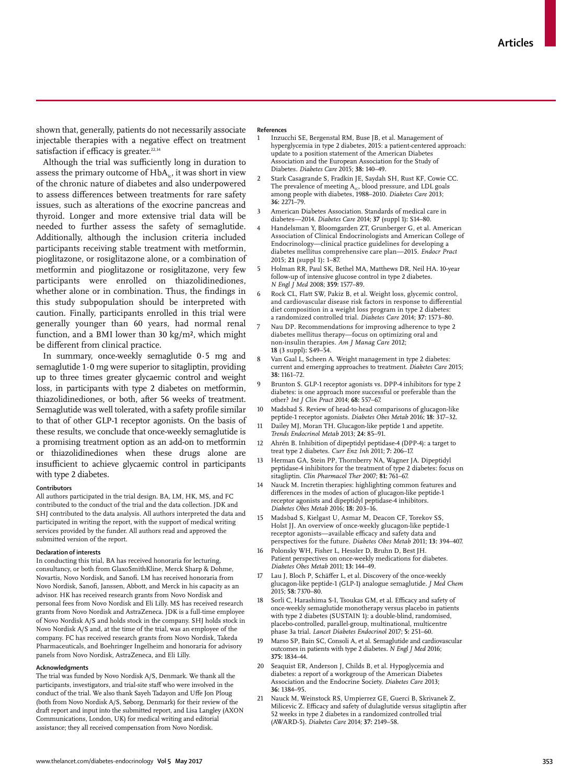shown that, generally, patients do not necessarily associate injectable therapies with a negative effect on treatment satisfaction if efficacy is greater. $22,34$ 

Although the trial was sufficiently long in duration to assess the primary outcome of  $HbA_{1c}$ , it was short in view of the chronic nature of diabetes and also underpowered to assess differences between treatments for rare safety issues, such as alterations of the exocrine pancreas and thyroid. Longer and more extensive trial data will be needed to further assess the safety of semaglutide. Additionally, although the inclusion criteria included participants receiving stable treatment with metformin, pioglitazone, or rosiglitazone alone, or a combination of metformin and pioglitazone or rosiglitazone, very few participants were enrolled on thiazolidinediones, whether alone or in combination. Thus, the findings in this study subpopulation should be interpreted with caution. Finally, participants enrolled in this trial were generally younger than 60 years, had normal renal function, and a BMI lower than 30 kg/m², which might be different from clinical practice.

In summary, once-weekly semaglutide 0·5 mg and semaglutide 1·0 mg were superior to sitagliptin, providing up to three times greater glycaemic control and weight loss, in participants with type 2 diabetes on metformin, thiazolidinediones, or both, after 56 weeks of treatment. Semaglutide was well tolerated, with a safety profile similar to that of other GLP-1 receptor agonists. On the basis of these results, we conclude that once-weekly semaglutide is a promising treatment option as an add-on to metformin or thiazolidinediones when these drugs alone are insufficient to achieve glycaemic control in participants with type 2 diabetes.

#### **Contributors**

All authors participated in the trial design. BA, LM, HK, MS, and FC contributed to the conduct of the trial and the data collection. JDK and SHJ contributed to the data analysis. All authors interpreted the data and participated in writing the report, with the support of medical writing services provided by the funder. All authors read and approved the submitted version of the report.

#### **Declaration of interests**

In conducting this trial, BA has received honoraria for lecturing, consultancy, or both from GlaxoSmithKline, Merck Sharp & Dohme, Novartis, Novo Nordisk, and Sanofi. LM has received honoraria from Novo Nordisk, Sanofi, Janssen, Abbott, and Merck in his capacity as an advisor. HK has received research grants from Novo Nordisk and personal fees from Novo Nordisk and Eli Lilly. MS has received research grants from Novo Nordisk and AstraZeneca. JDK is a full-time employee of Novo Nordisk A/S and holds stock in the company. SHJ holds stock in Novo Nordisk A/S and, at the time of the trial, was an employee of the company. FC has received research grants from Novo Nordisk, Takeda Pharmaceuticals, and Boehringer Ingelheim and honoraria for advisory panels from Novo Nordisk, AstraZeneca, and Eli Lilly.

#### **Acknowledgments**

The trial was funded by Novo Nordisk A/S, Denmark. We thank all the participants, investigators, and trial-site staff who were involved in the conduct of the trial. We also thank Sayeh Tadayon and Uffe Jon Ploug (both from Novo Nordisk A/S, Søborg, Denmark) for their review of the draft report and input into the submitted report, and Lisa Langley (AXON Communications, London, UK) for medical writing and editorial assistance; they all received compensation from Novo Nordisk.

#### **References**

- 1 Inzucchi SE, Bergenstal RM, Buse JB, et al. Management of hyperglycemia in type 2 diabetes, 2015: a patient-centered approach: update to a position statement of the American Diabetes Association and the European Association for the Study of Diabetes. *Diabetes Care* 2015; **38:** 140–49.
- 2 Stark Casagrande S, Fradkin JE, Saydah SH, Rust KF, Cowie CC. The prevalence of meeting  $\mathrm{A_{\textsc{ic}}}$  blood pressure, and LDL goals among people with diabetes, 1988–2010. *Diabetes Care* 2013; **36:** 2271–79.
- American Diabetes Association. Standards of medical care in diabetes—2014. *Diabetes Care* 2014; **37** (suppl 1)**:** S14–80.
- 4 Handelsman Y, Bloomgarden ZT, Grunberger G, et al. American Association of Clinical Endocrinologists and American College of Endocrinology—clinical practice guidelines for developing a diabetes mellitus comprehensive care plan—2015. *Endocr Pract* 2015; **21** (suppl 1)**:** 1–87.
- 5 Holman RR, Paul SK, Bethel MA, Matthews DR, Neil HA. 10-year follow-up of intensive glucose control in type 2 diabetes. *N Engl J Med* 2008; **359:** 1577–89.
- 6 Rock CL, Flatt SW, Pakiz B, et al. Weight loss, glycemic control, and cardiovascular disease risk factors in response to differential diet composition in a weight loss program in type 2 diabetes: a randomized controlled trial. *Diabetes Care* 2014; **37:** 1573–80.
- Nau DP. Recommendations for improving adherence to type 2 diabetes mellitus therapy—focus on optimizing oral and non-insulin therapies. *Am J Manag Care* 2012; **18** (3 suppl)**:** S49–54.
- 8 Van Gaal L, Scheen A. Weight management in type 2 diabetes: current and emerging approaches to treatment. *Diabetes Care* 2015; **38:** 1161–72.
- 9 Brunton S. GLP-1 receptor agonists vs. DPP-4 inhibitors for type 2 diabetes: is one approach more successful or preferable than the other? *Int J Clin Pract* 2014; **68:** 557–67.
- 10 Madsbad S. Review of head-to-head comparisons of glucagon-like peptide-1 receptor agonists. *Diabetes Obes Metab* 2016; **18:** 317–32.
- Dailey MJ, Moran TH. Glucagon-like peptide 1 and appetite. *Trends Endocrinol Metab* 2013; **24:** 85–91.
- 12 Ahrén B. Inhibition of dipeptidyl peptidase-4 (DPP-4): a target to treat type 2 diabetes. *Curr Enz Inh* 2011; **7:** 206–17.
- 13 Herman GA, Stein PP, Thornberry NA, Wagner JA. Dipeptidyl peptidase-4 inhibitors for the treatment of type 2 diabetes: focus on sitagliptin. *Clin Pharmacol Ther* 2007; **81:** 761–67.
- Nauck M. Incretin therapies: highlighting common features and differences in the modes of action of glucagon-like peptide-1 receptor agonists and dipeptidyl peptidase-4 inhibitors. *Diabetes Obes Metab* 2016; **18:** 203–16.
- Madsbad S, Kielgast U, Asmar M, Deacon CF, Torekov SS, Holst JJ. An overview of once-weekly glucagon-like peptide-1 receptor agonists—available efficacy and safety data and perspectives for the future. *Diabetes Obes Metab* 2011; **13:** 394–407.
- 16 Polonsky WH, Fisher L, Hessler D, Bruhn D, Best JH. Patient perspectives on once-weekly medications for diabetes. *Diabetes Obes Metab* 2011; **13:** 144–49.
- 17 Lau J, Bloch P, Schäffer L, et al. Discovery of the once-weekly glucagon-like peptide-1 (GLP-1) analogue semaglutide. *J Med Chem* 2015; **58:** 7370–80.
- Sorli C, Harashima S-I, Tsoukas GM, et al. Efficacy and safety of once-weekly semaglutide monotherapy versus placebo in patients with type 2 diabetes (SUSTAIN 1): a double-blind, randomised, placebo-controlled, parallel-group, multinational, multicentre phase 3a trial. *Lancet Diabetes Endocrinol* 2017; **5:** 251–60.
- 19 Marso SP, Bain SC, Consoli A, et al. Semaglutide and cardiovascular outcomes in patients with type 2 diabetes. *N Engl J Med* 2016; **375:** 1834–44.
- 20 Seaquist ER, Anderson J, Childs B, et al. Hypoglycemia and diabetes: a report of a workgroup of the American Diabetes Association and the Endocrine Society. *Diabetes Care* 2013; **36:** 1384–95.
- 21 Nauck M, Weinstock RS, Umpierrez GE, Guerci B, Skrivanek Z, Milicevic Z. Efficacy and safety of dulaglutide versus sitagliptin after 52 weeks in type 2 diabetes in a randomized controlled trial (AWARD-5). *Diabetes Care* 2014; **37:** 2149–58.